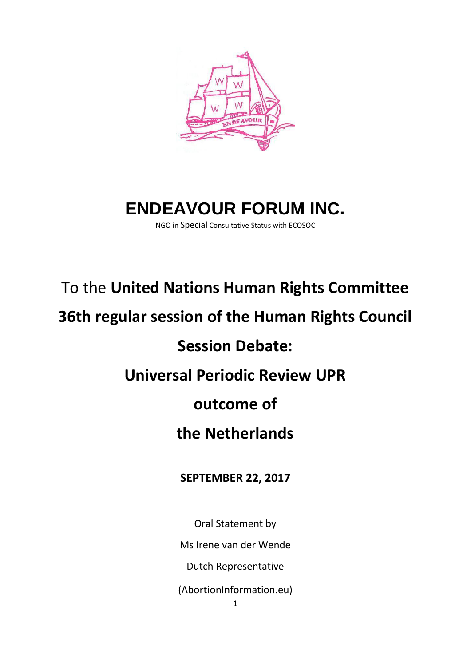

# **ENDEAVOUR FORUM INC.**

NGO in Special Consultative Status with ECOSOC

## To the **United Nations Human Rights Committee**

### **36th regular session of the Human Rights Council**

## **Session Debate:**

#### **Universal Periodic Review UPR**

#### **outcome of**

#### **the Netherlands**

#### **SEPTEMBER 22, 2017**

Oral Statement by Ms Irene van der Wende Dutch Representative (AbortionInformation.eu)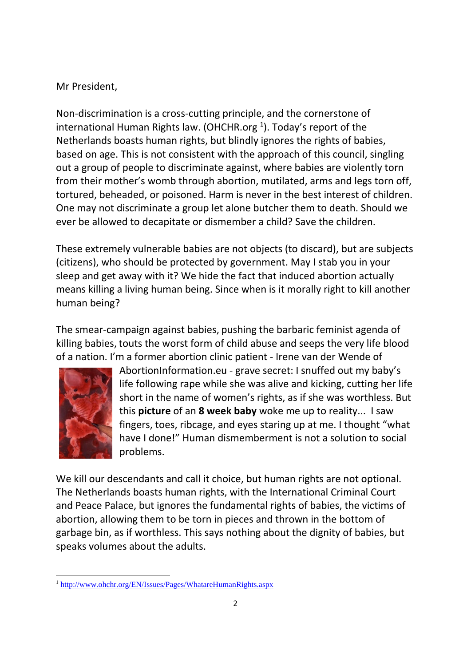#### Mr President,

Non-discrimination is a cross-cutting principle, and the cornerstone of international Human Rights law. (OHCHR.org  $^1$ ). Today's report of the Netherlands boasts human rights, but blindly ignores the rights of babies, based on age. This is not consistent with the approach of this council, singling out a group of people to discriminate against, where babies are violently torn from their mother's womb through abortion, mutilated, arms and legs torn off, tortured, beheaded, or poisoned. Harm is never in the best interest of children. One may not discriminate a group let alone butcher them to death. Should we ever be allowed to decapitate or dismember a child? Save the children.

These extremely vulnerable babies are not objects (to discard), but are subjects (citizens), who should be protected by government. May I stab you in your sleep and get away with it? We hide the fact that induced abortion actually means killing a living human being. Since when is it morally right to kill another human being?

The smear-campaign against babies, pushing the barbaric feminist agenda of killing babies, touts the worst form of child abuse and seeps the very life blood of a nation. I'm a former abortion clinic patient - Irene van der Wende of



1

AbortionInformation.eu - grave secret: I snuffed out my baby's life following rape while she was alive and kicking, cutting her life short in the name of women's rights, as if she was worthless. But this **picture** of an **8 week baby** woke me up to reality... I saw fingers, toes, ribcage, and eyes staring up at me. I thought "what have I done!" Human dismemberment is not a solution to social problems.

We kill our descendants and call it choice, but human rights are not optional. The Netherlands boasts human rights, with the International Criminal Court and Peace Palace, but ignores the fundamental rights of babies, the victims of abortion, allowing them to be torn in pieces and thrown in the bottom of garbage bin, as if worthless. This says nothing about the dignity of babies, but speaks volumes about the adults.

<sup>1</sup> <http://www.ohchr.org/EN/Issues/Pages/WhatareHumanRights.aspx>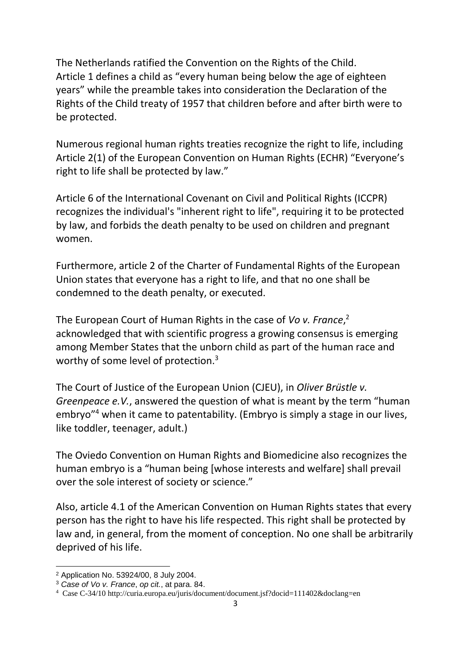The Netherlands ratified the Convention on the Rights of the Child. Article 1 defines a child as "every human being below the age of eighteen years" while the preamble takes into consideration the Declaration of the Rights of the Child treaty of 1957 that children before and after birth were to be protected.

Numerous regional human rights treaties recognize the right to life, including Article 2(1) of the European Convention on Human Rights (ECHR) "Everyone's right to life shall be protected by law."

Article 6 of the International Covenant on Civil and Political Rights (ICCPR) recognizes the individual's "inherent right to life", requiring it to be protected by law, and forbids the death penalty to be used on children and pregnant women.

Furthermore, article 2 of the Charter of Fundamental Rights of the European Union states that everyone has a right to life, and that no one shall be condemned to the death penalty, or executed.

The European Court of Human Rights in the case of *Vo v. France*, 2 acknowledged that with scientific progress a growing consensus is emerging among Member States that the unborn child as part of the human race and worthy of some level of protection.<sup>3</sup>

The Court of Justice of the European Union (CJEU), in *Oliver Brüstle v. Greenpeace e.V.*, answered the question of what is meant by the term "human embryo"<sup>4</sup> when it came to patentability. (Embryo is simply a stage in our lives, like toddler, teenager, adult.)

The Oviedo Convention on Human Rights and Biomedicine also recognizes the human embryo is a "human being [whose interests and welfare] shall prevail over the sole interest of society or science."

Also, article 4.1 of the American Convention on Human Rights states that every person has the right to have his life respected. This right shall be protected by law and, in general, from the moment of conception. No one shall be arbitrarily deprived of his life.

<sup>1</sup> <sup>2</sup> Application No. 53924/00, 8 July 2004.

<sup>3</sup> *Case of Vo v. France*, *op cit.*, at para. 84.

<sup>4</sup> Case C-34/10 http://curia.europa.eu/juris/document/document.jsf?docid=111402&doclang=en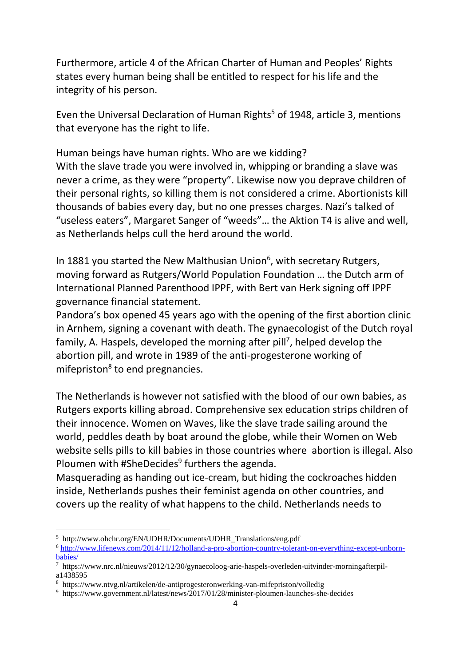Furthermore, article 4 of the African Charter of Human and Peoples' Rights states every human being shall be entitled to respect for his life and the integrity of his person.

Even the Universal Declaration of Human Rights<sup>5</sup> of 1948, article 3, mentions that everyone has the right to life.

Human beings have human rights. Who are we kidding? With the slave trade you were involved in, whipping or branding a slave was never a crime, as they were "property". Likewise now you deprave children of their personal rights, so killing them is not considered a crime. Abortionists kill thousands of babies every day, but no one presses charges. Nazi's talked of "useless eaters", Margaret Sanger of "weeds"… the Aktion T4 is alive and well, as Netherlands helps cull the herd around the world.

In 1881 you started the New Malthusian Union<sup>6</sup>, with secretary Rutgers, moving forward as Rutgers/World Population Foundation … the Dutch arm of International Planned Parenthood IPPF, with Bert van Herk signing off IPPF governance financial statement.

Pandora's box opened 45 years ago with the opening of the first abortion clinic in Arnhem, signing a covenant with death. The gynaecologist of the Dutch royal family, A. Haspels, developed the morning after pill<sup>7</sup>, helped develop the abortion pill, and wrote in 1989 of the anti-progesterone working of mifepriston<sup>8</sup> to end pregnancies.

The Netherlands is however not satisfied with the blood of our own babies, as Rutgers exports killing abroad. Comprehensive sex education strips children of their innocence. Women on Waves, like the slave trade sailing around the world, peddles death by boat around the globe, while their Women on Web website sells pills to kill babies in those countries where abortion is illegal. Also Ploumen with #SheDecides<sup>9</sup> furthers the agenda.

Masquerading as handing out ice-cream, but hiding the cockroaches hidden inside, Netherlands pushes their feminist agenda on other countries, and covers up the reality of what happens to the child. Netherlands needs to

**.** 

<sup>5</sup> http://www.ohchr.org/EN/UDHR/Documents/UDHR\_Translations/eng.pdf

<sup>6</sup> [http://www.lifenews.com/2014/11/12/holland-a-pro-abortion-country-tolerant-on-everything-except-unborn](http://www.lifenews.com/2014/11/12/holland-a-pro-abortion-country-tolerant-on-everything-except-unborn-babies/)[babies/](http://www.lifenews.com/2014/11/12/holland-a-pro-abortion-country-tolerant-on-everything-except-unborn-babies/)

<sup>7</sup> https://www.nrc.nl/nieuws/2012/12/30/gynaecoloog-arie-haspels-overleden-uitvinder-morningafterpila1438595

<sup>8</sup> https://www.ntvg.nl/artikelen/de-antiprogesteronwerking-van-mifepriston/volledig

<sup>9</sup> https://www.government.nl/latest/news/2017/01/28/minister-ploumen-launches-she-decides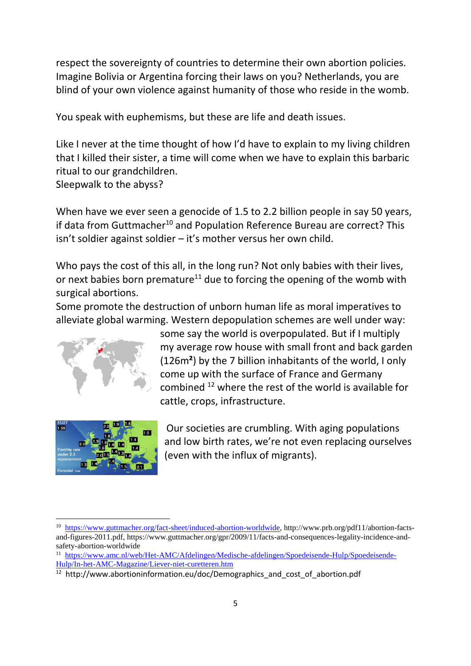respect the sovereignty of countries to determine their own abortion policies. Imagine Bolivia or Argentina forcing their laws on you? Netherlands, you are blind of your own violence against humanity of those who reside in the womb.

You speak with euphemisms, but these are life and death issues.

Like I never at the time thought of how I'd have to explain to my living children that I killed their sister, a time will come when we have to explain this barbaric ritual to our grandchildren. Sleepwalk to the abyss?

When have we ever seen a genocide of 1.5 to 2.2 billion people in say 50 years, if data from Guttmacher<sup>10</sup> and Population Reference Bureau are correct? This isn't soldier against soldier – it's mother versus her own child.

Who pays the cost of this all, in the long run? Not only babies with their lives, or next babies born premature<sup>11</sup> due to forcing the opening of the womb with surgical abortions.

Some promote the destruction of unborn human life as moral imperatives to alleviate global warming. Western depopulation schemes are well under way:





**.** 

some say the world is overpopulated. But if I multiply my average row house with small front and back garden (126m**²**) by the 7 billion inhabitants of the world, I only come up with the surface of France and Germany combined <sup>12</sup> where the rest of the world is available for cattle, crops, infrastructure.

Our societies are crumbling. With aging populations and low birth rates, we're not even replacing ourselves (even with the influx of migrants).

<sup>&</sup>lt;sup>10</sup> [https://www.guttmacher.org/fact-sheet/induced-abortion-worldwide,](https://www.guttmacher.org/fact-sheet/induced-abortion-worldwide) http://www.prb.org/pdf11/abortion-factsand-figures-2011.pdf, https://www.guttmacher.org/gpr/2009/11/facts-and-consequences-legality-incidence-andsafety-abortion-worldwide

<sup>&</sup>lt;sup>11</sup> [https://www.amc.nl/web/Het-AMC/Afdelingen/Medische-afdelingen/Spoedeisende-Hulp/Spoedeisende-](https://www.amc.nl/web/Het-AMC/Afdelingen/Medische-afdelingen/Spoedeisende-Hulp/Spoedeisende-Hulp/In-het-AMC-Magazine/Liever-niet-curetteren.htm)[Hulp/In-het-AMC-Magazine/Liever-niet-curetteren.htm](https://www.amc.nl/web/Het-AMC/Afdelingen/Medische-afdelingen/Spoedeisende-Hulp/Spoedeisende-Hulp/In-het-AMC-Magazine/Liever-niet-curetteren.htm)

<sup>12</sup> http://www.abortioninformation.eu/doc/Demographics\_and\_cost\_of\_abortion.pdf